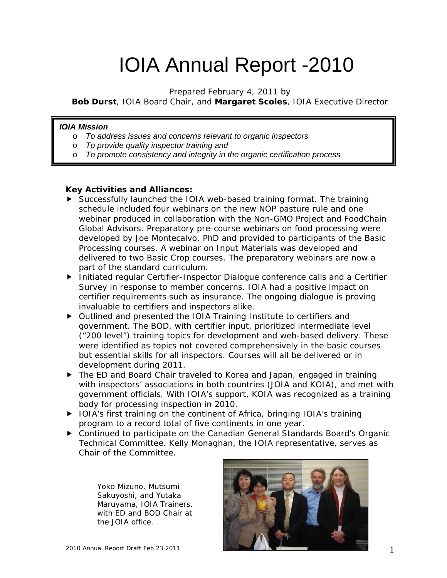# IOIA Annual Report -2010

*Prepared February 4, 2011 by* 

*Bob Durst, IOIA Board Chair, and Margaret Scoles, IOIA Executive Director* 

#### *IOIA Mission*

- o *To address issues and concerns relevant to organic inspectors*
- o *To provide quality inspector training and*
- o *To promote consistency and integrity in the organic certification process*

#### **Key Activities and Alliances:**

- Successfully launched the IOIA web-based training format. The training schedule included four webinars on the new NOP pasture rule and one webinar produced in collaboration with the Non-GMO Project and FoodChain Global Advisors. Preparatory pre-course webinars on food processing were developed by Joe Montecalvo, PhD and provided to participants of the Basic Processing courses. A webinar on Input Materials was developed and delivered to two Basic Crop courses. The preparatory webinars are now a part of the standard curriculum.
- ▶ Initiated regular Certifier-Inspector Dialogue conference calls and a Certifier Survey in response to member concerns. IOIA had a positive impact on certifier requirements such as insurance. The ongoing dialogue is proving invaluable to certifiers and inspectors alike.
- Outlined and presented the IOIA Training Institute to certifiers and government. The BOD, with certifier input, prioritized intermediate level ("200 level") training topics for development and web-based delivery. These were identified as topics not covered comprehensively in the basic courses but essential skills for all inspectors. Courses will all be delivered or in development during 2011.
- ▶ The ED and Board Chair traveled to Korea and Japan, engaged in training with inspectors' associations in both countries (JOIA and KOIA), and met with government officials. With IOIA's support, KOIA was recognized as a training body for processing inspection in 2010.
- ▶ IOIA's first training on the continent of Africa, bringing IOIA's training program to a record total of five continents in one year.
- Continued to participate on the Canadian General Standards Board's Organic Technical Committee. Kelly Monaghan, the IOIA representative, serves as Chair of the Committee.

Yoko Mizuno, Mutsumi Sakuyoshi, and Yutaka Maruyama, IOIA Trainers, with ED and BOD Chair at the JOIA office.

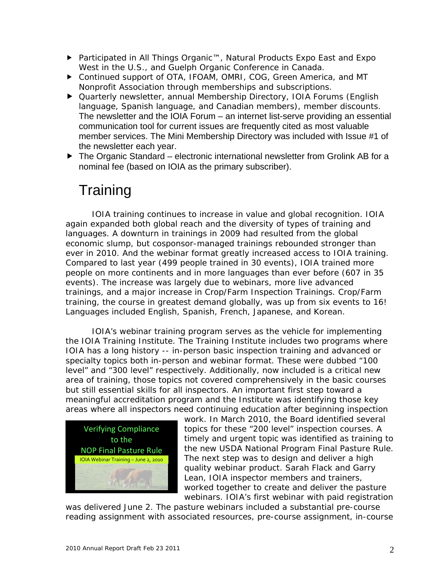- Participated in All Things Organic™, Natural Products Expo East and Expo West in the U.S., and Guelph Organic Conference in Canada.
- Continued support of OTA, IFOAM, OMRI, COG, Green America, and MT Nonprofit Association through memberships and subscriptions.
- Quarterly newsletter, annual Membership Directory, IOIA Forums (English language, Spanish language, and Canadian members), member discounts. The newsletter and the IOIA Forum – an internet list-serve providing an essential communication tool for current issues are frequently cited as most valuable member services. The Mini Membership Directory was included with Issue #1 of the newsletter each year.
- ▶ The Organic Standard electronic international newsletter from Grolink AB for a nominal fee (based on IOIA as the primary subscriber).

### **Training**

 IOIA training continues to increase in value and global recognition. IOIA again expanded both global reach and the diversity of types of training and languages. A downturn in trainings in 2009 had resulted from the global economic slump, but cosponsor-managed trainings rebounded stronger than ever in 2010. And the webinar format greatly increased access to IOIA training. Compared to last year (499 people trained in 30 events), IOIA trained more people on more continents and in more languages than ever before (607 in 35 events). The increase was largely due to webinars, more live advanced trainings, and a major increase in Crop/Farm Inspection Trainings. Crop/Farm training, the course in greatest demand globally, was up from six events to 16! Languages included English, Spanish, French, Japanese, and Korean.

 IOIA's webinar training program serves as the vehicle for implementing the IOIA Training Institute. The Training Institute includes two programs where IOIA has a long history -- in-person basic inspection training and advanced or specialty topics both in-person and webinar format. These were dubbed "100 level" and "300 level" respectively. Additionally, now included is a critical new area of training, those topics not covered comprehensively in the basic courses but still essential skills for all inspectors. An important first step toward a meaningful accreditation program and the Institute was identifying those key areas where all inspectors need continuing education after beginning inspection



work. In March 2010, the Board identified several topics for these "200 level" inspection courses. A timely and urgent topic was identified as training to the new USDA National Program Final Pasture Rule. The next step was to design and deliver a high quality webinar product. Sarah Flack and Garry Lean, IOIA inspector members and trainers, worked together to create and deliver the pasture webinars. IOIA's first webinar with paid registration

was delivered June 2. The pasture webinars included a substantial pre-course reading assignment with associated resources, pre-course assignment, in-course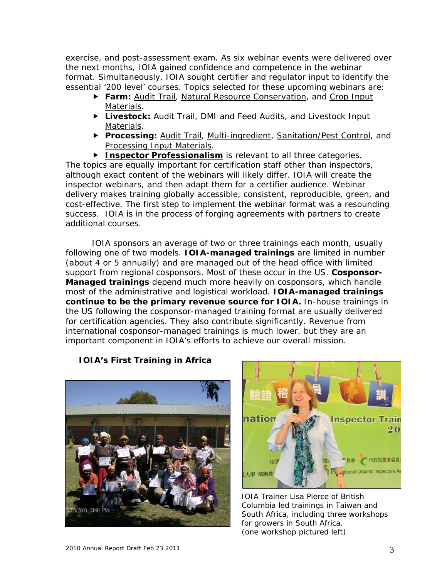exercise, and post-assessment exam. As six webinar events were delivered over the next months, IOIA gained confidence and competence in the webinar format. Simultaneously, IOIA sought certifier and regulator input to identify the essential '200 level' courses. Topics selected for these upcoming webinars are:

- **Farm:** Audit Trail, Natural Resource Conservation, and Crop Input Materials.
- **Livestock:** Audit Trail, DMI and Feed Audits, and Livestock Input Materials.
- **Processing:** Audit Trail, Multi-ingredient, Sanitation/Pest Control, and Processing Input Materials.

**Inspector Professionalism** is relevant to all three categories. The topics are equally important for certification staff other than inspectors, although exact content of the webinars will likely differ. IOIA will create the inspector webinars, and then adapt them for a certifier audience. Webinar delivery makes training globally accessible, consistent, reproducible, green, and cost-effective. The first step to implement the webinar format was a resounding success. IOIA is in the process of forging agreements with partners to create additional courses.

 IOIA sponsors an average of two or three trainings each month, usually following one of two models. **IOIA-managed trainings** are limited in number (about 4 or 5 annually) and are managed out of the head office with limited support from regional cosponsors. Most of these occur in the US. **Cosponsor-Managed trainings** depend much more heavily on cosponsors, which handle most of the administrative and logistical workload. **IOIA-managed trainings continue to be the primary revenue source for IOIA.** In-house trainings in the US following the cosponsor-managed training format are usually delivered for certification agencies. They also contribute significantly. Revenue from international cosponsor-managed trainings is much lower, but they are an important component in IOIA's efforts to achieve our overall mission.

#### **IOIA's First Training in Africa**





IOIA Trainer Lisa Pierce of British Columbia led trainings in Taiwan and South Africa, including three workshops for growers in South Africa. (one workshop pictured left)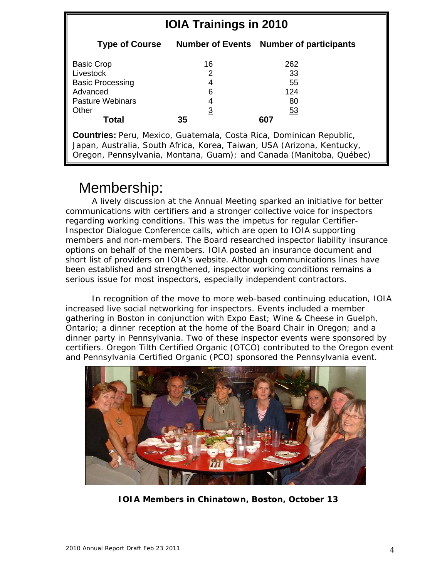| <b>IOIA Trainings in 2010</b>                                                                                                                                                                                               |                                           |                                                  |
|-----------------------------------------------------------------------------------------------------------------------------------------------------------------------------------------------------------------------------|-------------------------------------------|--------------------------------------------------|
| <b>Type of Course</b>                                                                                                                                                                                                       |                                           | <b>Number of Events Number of participants</b>   |
| <b>Basic Crop</b><br>Livestock<br><b>Basic Processing</b><br>Advanced<br><b>Pasture Webinars</b><br>Other<br>Total                                                                                                          | 16<br>2<br>6<br>4<br>$\overline{3}$<br>35 | 262<br>33<br>55<br>124<br>80<br><u>53</u><br>607 |
| <b>Countries:</b> Peru, Mexico, Guatemala, Costa Rica, Dominican Republic,<br>Japan, Australia, South Africa, Korea, Taiwan, USA (Arizona, Kentucky,<br>Oregon, Pennsylvania, Montana, Guam); and Canada (Manitoba, Québec) |                                           |                                                  |

### Membership:

 A lively discussion at the Annual Meeting sparked an initiative for better communications with certifiers and a stronger collective voice for inspectors regarding working conditions. This was the impetus for regular Certifier-Inspector Dialogue Conference calls, which are open to IOIA supporting members and non-members. The Board researched inspector liability insurance options on behalf of the members. IOIA posted an insurance document and short list of providers on IOIA's website. Although communications lines have been established and strengthened, inspector working conditions remains a serious issue for most inspectors, especially independent contractors.

 In recognition of the move to more web-based continuing education, IOIA increased live social networking for inspectors. Events included a member gathering in Boston in conjunction with Expo East; Wine & Cheese in Guelph, Ontario; a dinner reception at the home of the Board Chair in Oregon; and a dinner party in Pennsylvania. Two of these inspector events were sponsored by certifiers. Oregon Tilth Certified Organic (OTCO) contributed to the Oregon event and Pennsylvania Certified Organic (PCO) sponsored the Pennsylvania event.



**IOIA Members in Chinatown, Boston, October 13**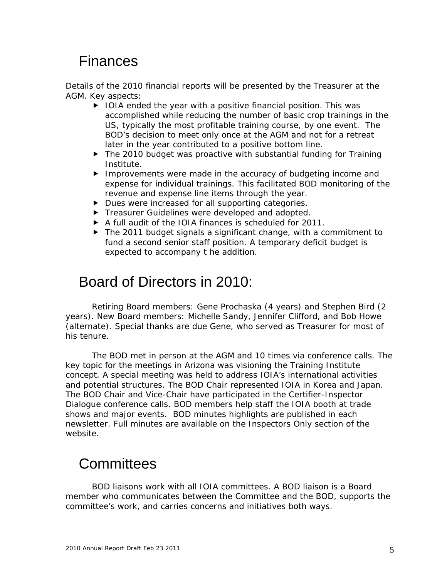### Finances

Details of the 2010 financial reports will be presented by the Treasurer at the AGM. Key aspects:

- $\triangleright$  IOIA ended the year with a positive financial position. This was accomplished while reducing the number of basic crop trainings in the US, typically the most profitable training course, by one event. The BOD's decision to meet only once at the AGM and not for a retreat later in the year contributed to a positive bottom line.
- ▶ The 2010 budget was proactive with substantial funding for Training Institute.
- Improvements were made in the accuracy of budgeting income and expense for individual trainings. This facilitated BOD monitoring of the revenue and expense line items through the year.
- Dues were increased for all supporting categories.
- **FIGURER** Treasurer Guidelines were developed and adopted.
- A full audit of the IOIA finances is scheduled for 2011.
- ▶ The 2011 budget signals a significant change, with a commitment to fund a second senior staff position. A temporary deficit budget is expected to accompany t he addition.

### Board of Directors in 2010:

 Retiring Board members: Gene Prochaska (4 years) and Stephen Bird (2 years). New Board members: Michelle Sandy, Jennifer Clifford, and Bob Howe (alternate). Special thanks are due Gene, who served as Treasurer for most of his tenure.

 The BOD met in person at the AGM and 10 times via conference calls. The key topic for the meetings in Arizona was visioning the Training Institute concept. A special meeting was held to address IOIA's international activities and potential structures. The BOD Chair represented IOIA in Korea and Japan. The BOD Chair and Vice-Chair have participated in the Certifier-Inspector Dialogue conference calls. BOD members help staff the IOIA booth at trade shows and major events. BOD minutes highlights are published in each newsletter. Full minutes are available on the Inspectors Only section of the website.

### **Committees**

 BOD liaisons work with all IOIA committees. A BOD liaison is a Board member who communicates between the Committee and the BOD, supports the committee's work, and carries concerns and initiatives both ways.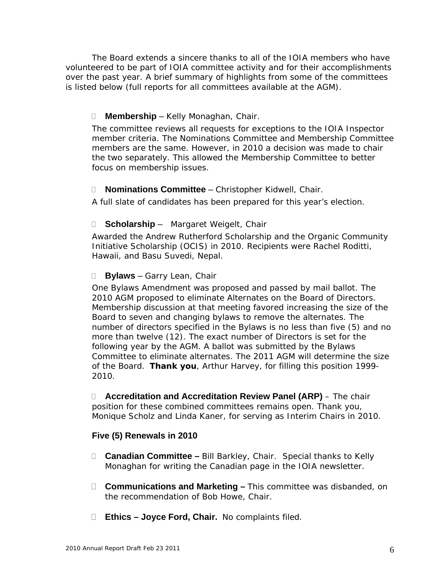The Board extends a sincere thanks to all of the IOIA members who have volunteered to be part of IOIA committee activity and for their accomplishments over the past year. A brief summary of highlights from some of the committees is listed below (full reports for all committees available at the AGM).

#### **Membership** – Kelly Monaghan, Chair.

The committee reviews all requests for exceptions to the IOIA Inspector member criteria. The Nominations Committee and Membership Committee members are the same. However, in 2010 a decision was made to chair the two separately. This allowed the Membership Committee to better focus on membership issues.

#### **Nominations Committee** – Christopher Kidwell, Chair.

A full slate of candidates has been prepared for this year's election.

#### **Scholarship** – Margaret Weigelt, Chair

Awarded the Andrew Rutherford Scholarship and the Organic Community Initiative Scholarship (OCIS) in 2010. Recipients were Rachel Roditti, Hawaii, and Basu Suvedi, Nepal.

#### **Bylaws** – Garry Lean, Chair

One Bylaws Amendment was proposed and passed by mail ballot. The 2010 AGM proposed to eliminate Alternates on the Board of Directors. Membership discussion at that meeting favored increasing the size of the Board to seven and changing bylaws to remove the alternates. The number of directors specified in the Bylaws is no less than five (5) and no more than twelve (12). The exact number of Directors is set for the following year by the AGM. A ballot was submitted by the Bylaws Committee to eliminate alternates. The 2011 AGM will determine the size of the Board. **Thank you**, Arthur Harvey, for filling this position 1999- 2010.

 **Accreditation and Accreditation Review Panel (ARP)** – The chair position for these combined committees remains open. Thank you, Monique Scholz and Linda Kaner, for serving as Interim Chairs in 2010.

#### **Five (5) Renewals in 2010**

- **Canadian Committee** Bill Barkley, Chair. Special thanks to Kelly Monaghan for writing the Canadian page in the IOIA newsletter.
- **Communications and Marketing** This committee was disbanded, on the recommendation of Bob Howe, Chair.
- **Ethics Joyce Ford, Chair.** No complaints filed.